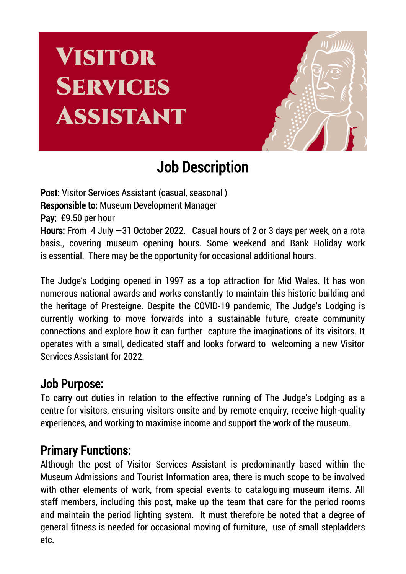# **VISITOR SERVICES** ASSISTANT



## Job Description

Post: Visitor Services Assistant (casual, seasonal ) Responsible to: Museum Development Manager Pay: £9.50 per hour Hours: From 4 July -31 October 2022. Casual hours of 2 or 3 days per week, on a rota basis., covering museum opening hours. Some weekend and Bank Holiday work is essential. There may be the opportunity for occasional additional hours.

The Judge's Lodging opened in 1997 as a top attraction for Mid Wales. It has won numerous national awards and works constantly to maintain this historic building and the heritage of Presteigne. Despite the COVID-19 pandemic, The Judge's Lodging is currently working to move forwards into a sustainable future, create community connections and explore how it can further capture the imaginations of its visitors. It operates with a small, dedicated staff and looks forward to welcoming a new Visitor Services Assistant for 2022.

#### Job Purpose:

To carry out duties in relation to the effective running of The Judge's Lodging as a centre for visitors, ensuring visitors onsite and by remote enquiry, receive high-quality experiences, and working to maximise income and support the work of the museum.

### Primary Functions:

Although the post of Visitor Services Assistant is predominantly based within the Museum Admissions and Tourist Information area, there is much scope to be involved with other elements of work, from special events to cataloguing museum items. All staff members, including this post, make up the team that care for the period rooms and maintain the period lighting system. It must therefore be noted that a degree of general fitness is needed for occasional moving of furniture, use of small stepladders etc.